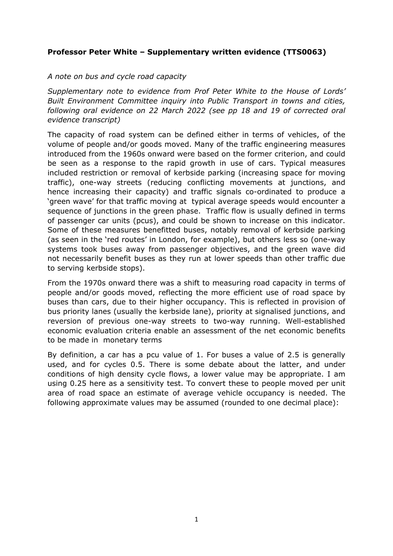## **Professor Peter White – Supplementary written evidence (TTS0063)**

## *A note on bus and cycle road capacity*

*Supplementary note to evidence from Prof Peter White to the House of Lords' Built Environment Committee inquiry into Public Transport in towns and cities, following oral evidence on 22 March 2022 (see pp 18 and 19 of corrected oral evidence transcript)*

The capacity of road system can be defined either in terms of vehicles, of the volume of people and/or goods moved. Many of the traffic engineering measures introduced from the 1960s onward were based on the former criterion, and could be seen as a response to the rapid growth in use of cars. Typical measures included restriction or removal of kerbside parking (increasing space for moving traffic), one-way streets (reducing conflicting movements at junctions, and hence increasing their capacity) and traffic signals co-ordinated to produce a 'green wave' for that traffic moving at typical average speeds would encounter a sequence of junctions in the green phase. Traffic flow is usually defined in terms of passenger car units (pcus), and could be shown to increase on this indicator. Some of these measures benefitted buses, notably removal of kerbside parking (as seen in the 'red routes' in London, for example), but others less so (one-way systems took buses away from passenger objectives, and the green wave did not necessarily benefit buses as they run at lower speeds than other traffic due to serving kerbside stops).

From the 1970s onward there was a shift to measuring road capacity in terms of people and/or goods moved, reflecting the more efficient use of road space by buses than cars, due to their higher occupancy. This is reflected in provision of bus priority lanes (usually the kerbside lane), priority at signalised junctions, and reversion of previous one-way streets to two-way running. Well-established economic evaluation criteria enable an assessment of the net economic benefits to be made in monetary terms

By definition, a car has a pcu value of 1. For buses a value of 2.5 is generally used, and for cycles 0.5. There is some debate about the latter, and under conditions of high density cycle flows, a lower value may be appropriate. I am using 0.25 here as a sensitivity test. To convert these to people moved per unit area of road space an estimate of average vehicle occupancy is needed. The following approximate values may be assumed (rounded to one decimal place):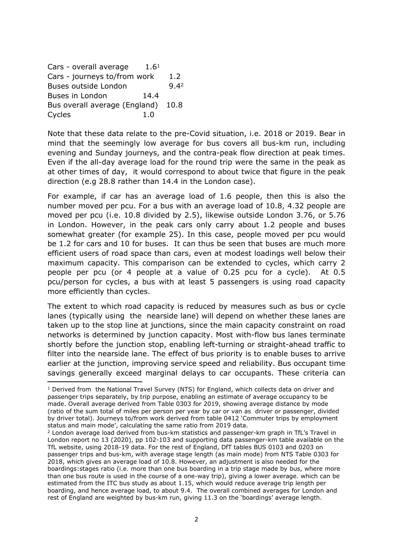Cars - overall average  $1.6<sup>1</sup>$ Cars - journeys to/from work 1.2 Buses outside London 9.42 Buses in London 14.4 Bus overall average (England) 10.8 Cycles 1.0

Note that these data relate to the pre-Covid situation, i.e. 2018 or 2019. Bear in mind that the seemingly low average for bus covers all bus-km run, including evening and Sunday journeys, and the contra-peak flow direction at peak times. Even if the all-day average load for the round trip were the same in the peak as at other times of day, it would correspond to about twice that figure in the peak direction (e.g 28.8 rather than 14.4 in the London case).

For example, if car has an average load of 1.6 people, then this is also the number moved per pcu. For a bus with an average load of 10.8, 4.32 people are moved per pcu (i.e. 10.8 divided by 2.5), likewise outside London 3.76, or 5.76 in London. However, in the peak cars only carry about 1.2 people and buses somewhat greater (for example 25). In this case, people moved per pcu would be 1.2 for cars and 10 for buses. It can thus be seen that buses are much more efficient users of road space than cars, even at modest loadings well below their maximum capacity. This comparison can be extended to cycles, which carry 2 people per pcu (or 4 people at a value of 0.25 pcu for a cycle). At 0.5 pcu/person for cycles, a bus with at least 5 passengers is using road capacity more efficiently than cycles.

The extent to which road capacity is reduced by measures such as bus or cycle lanes (typically using the nearside lane) will depend on whether these lanes are taken up to the stop line at junctions, since the main capacity constraint on road networks is determined by junction capacity. Most with-flow bus lanes terminate shortly before the junction stop, enabling left-turning or straight-ahead traffic to filter into the nearside lane. The effect of bus priority is to enable buses to arrive earlier at the junction, improving service speed and reliability. Bus occupant time savings generally exceed marginal delays to car occupants. These criteria can

<sup>&</sup>lt;sup>1</sup> Derived from the National Travel Survey (NTS) for England, which collects data on driver and passenger trips separately, by trip purpose, enabling an estimate of average occupancy to be made. Overall average derived from Table 0303 for 2019, showing average distance by mode (ratio of the sum total of miles per person per year by car or van as driver or passenger, divided by driver total). Journeys to/from work derived from table 0412 'Commuter trips by employment status and main mode', calculating the same ratio from 2019 data.

<sup>&</sup>lt;sup>2</sup> London average load derived from bus-km statistics and passenger-km graph in TfL's Travel in London report no 13 (2020), pp 102-103 and supporting data passenger-km table available on the TfL website, using 2018-19 data. For the rest of England, DfT tables BUS 0103 and 0203 on passenger trips and bus-km, with average stage length (as main mode) from NTS Table 0303 for 2018, which gives an average load of 10.8. However, an adjustment is also needed for the boardings:stages ratio (i.e. more than one bus boarding in a trip stage made by bus, where more than one bus route is used in the course of a one-way trip), giving a lower average. which can be estimated from the ITC bus study as about 1.15, which would reduce average trip length per boarding, and hence average load, to about 9.4. The overall combined averages for London and rest of England are weighted by bus-km run, giving 11.3 on the 'boardings' average length.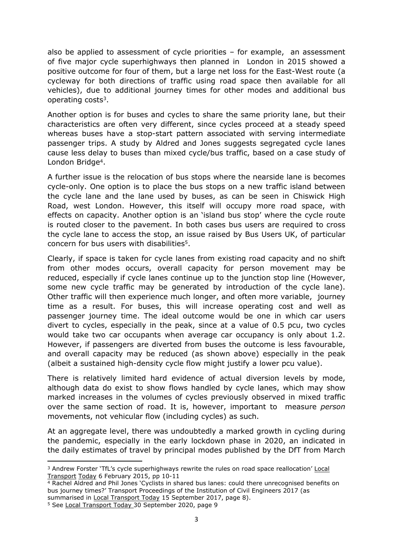also be applied to assessment of cycle priorities – for example, an assessment of five major cycle superhighways then planned in London in 2015 showed a positive outcome for four of them, but a large net loss for the East-West route (a cycleway for both directions of traffic using road space then available for all vehicles), due to additional journey times for other modes and additional bus operating costs<sup>3</sup>.

Another option is for buses and cycles to share the same priority lane, but their characteristics are often very different, since cycles proceed at a steady speed whereas buses have a stop-start pattern associated with serving intermediate passenger trips. A study by Aldred and Jones suggests segregated cycle lanes cause less delay to buses than mixed cycle/bus traffic, based on a case study of London Bridge<sup>4</sup>.

A further issue is the relocation of bus stops where the nearside lane is becomes cycle-only. One option is to place the bus stops on a new traffic island between the cycle lane and the lane used by buses, as can be seen in Chiswick High Road, west London. However, this itself will occupy more road space, with effects on capacity. Another option is an 'island bus stop' where the cycle route is routed closer to the pavement. In both cases bus users are required to cross the cycle lane to access the stop, an issue raised by Bus Users UK, of particular concern for bus users with disabilities<sup>5</sup>.

Clearly, if space is taken for cycle lanes from existing road capacity and no shift from other modes occurs, overall capacity for person movement may be reduced, especially if cycle lanes continue up to the junction stop line (However, some new cycle traffic may be generated by introduction of the cycle lane). Other traffic will then experience much longer, and often more variable, journey time as a result. For buses, this will increase operating cost and well as passenger journey time. The ideal outcome would be one in which car users divert to cycles, especially in the peak, since at a value of 0.5 pcu, two cycles would take two car occupants when average car occupancy is only about 1.2. However, if passengers are diverted from buses the outcome is less favourable, and overall capacity may be reduced (as shown above) especially in the peak (albeit a sustained high-density cycle flow might justify a lower pcu value).

There is relatively limited hard evidence of actual diversion levels by mode, although data do exist to show flows handled by cycle lanes, which may show marked increases in the volumes of cycles previously observed in mixed traffic over the same section of road. It is, however, important to measure *person* movements, not vehicular flow (including cycles) as such.

At an aggregate level, there was undoubtedly a marked growth in cycling during the pandemic, especially in the early lockdown phase in 2020, an indicated in the daily estimates of travel by principal modes published by the DfT from March

<sup>3</sup> Andrew Forster 'TfL's cycle superhighways rewrite the rules on road space reallocation' Local Transport Today 6 February 2015, pp 10-11

<sup>&</sup>lt;sup>4</sup> Rachel Aldred and Phil Jones 'Cyclists in shared bus lanes: could there unrecognised benefits on bus journey times?' Transport Proceedings of the Institution of Civil Engineers 2017 (as summarised in Local Transport Today 15 September 2017, page 8).

<sup>5</sup> See Local Transport Today 30 September 2020, page 9